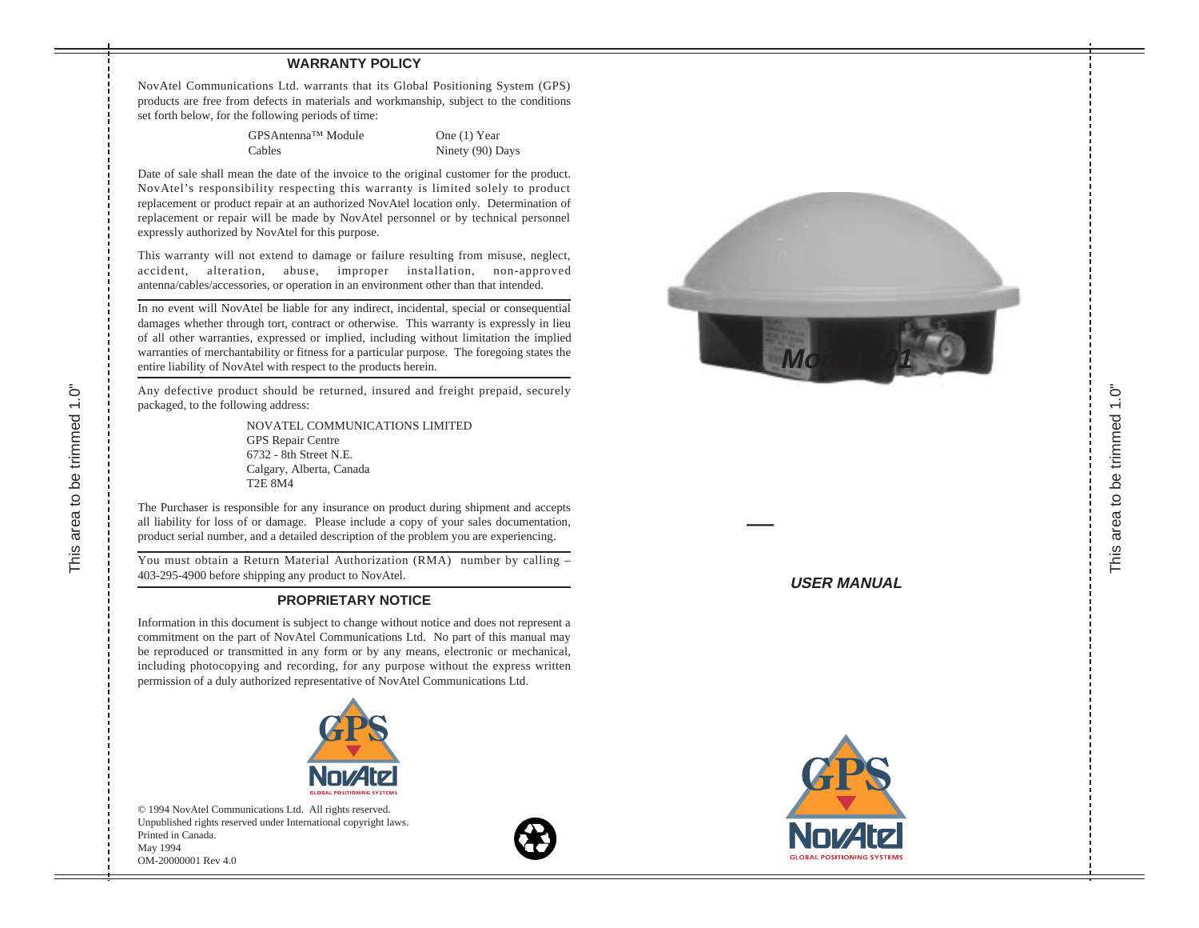#### **WARRANTY POLICY**

NovAtel Communications Ltd. warrants that its Global Positioning System (GPS) products are free from defects in materials and workmanship, subject to the conditions set forth below, for the following periods of time:

| GPSAntenna™ Module |  |
|--------------------|--|
| Cables             |  |

One  $(1)$  Year Ninety (90) Days

Date of sale shall mean the date of the invoice to the original customer for the product. NovAtel's responsibility respecting this warranty is limited solely to product replacement or product repair at an authorized NovAtel location only. Determination of replacement or repair will be made by NovAtel personnel or by technical personnel expressly authorized by NovAtel for this purpose.

This warranty will not extend to damage or failure resulting from misuse, neglect, accident, alteration, abuse, improper installation, non-approved antenna/cables/accessories, or operation in an environment other than that intended.

In no event will NovAtel be liable for any indirect, incidental, special or consequential damages whether through tort, contract or otherwise. This warranty is expressly in lieu of all other warranties, expressed or implied, including without limitation the implied warranties of merchantability or fitness for a particular purpose. The foregoing states the entire liability of NovAtel with respect to the products herein.

Any defective product should be returned, insured and freight prepaid, securely packaged, to the following address:

> NOVATEL COMMUNICATIONS LIMITED GPS Repair Centre 6732 - 8th Street N.E. Calgary, Alberta, Canada T2E 8M4

The Purchaser is responsible for any insurance on product during shipment and accepts all liability for loss of or damage. Please include a copy of your sales documentation, product serial number, and a detailed description of the problem you are experiencing.

You must obtain a Return Material Authorization (RMA) number by calling – 403-295-4900 before shipping any product to NovAtel.

#### **PROPRIETARY NOTICE**

Information in this document is subject to change without notice and does not represent a commitment on the part of NovAtel Communications Ltd. No part of this manual may be reproduced or transmitted in any form or by any means, electronic or mechanical, including photocopying and recording, for any purpose without the express written permission of a duly authorized representative of NovAtel Communications Ltd.



© 1994 NovAtel Communications Ltd. All rights reserved. Unpublished rights reserved under International copyright laws. Printed in Canada. May 1994 OM-20000001 Rev 4.0

This area to be trimmed 1.0"

This area to be trimmed 1.0"







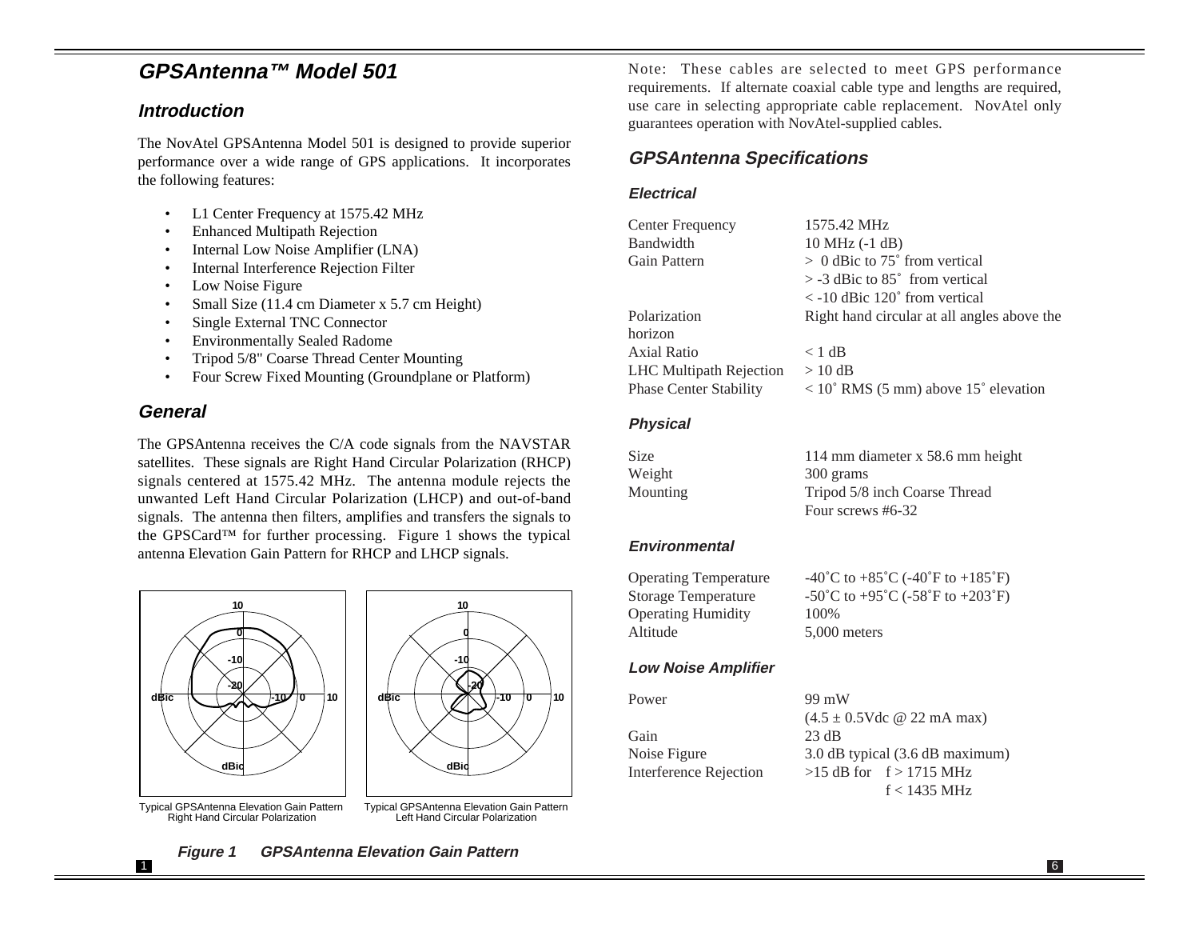# **GPSAntenna™ Model 501**

#### **Introduction**

The NovAtel GPSAntenna Model 501 is designed to provide superior performance over a wide range of GPS applications. It incorporates the following features:

- •L1 Center Frequency at 1575.42 MHz
- •Enhanced Multipath Rejection
- •Internal Low Noise Amplifier (LNA)
- •Internal Interference Rejection Filter
- •Low Noise Figure
- •Small Size (11.4 cm Diameter x 5.7 cm Height)
- •Single External TNC Connector
- •Environmentally Sealed Radome
- •Tripod 5/8" Coarse Thread Center Mounting
- •Four Screw Fixed Mounting (Groundplane or Platform)

### **General**

The GPSAntenna receives the C/A code signals from the NAVSTAR satellites. These signals are Right Hand Circular Polarization (RHCP) signals centered at 1575.42 MHz. The antenna module rejects the unwanted Left Hand Circular Polarization (LHCP) and out-of-band signals. The antenna then filters, amplifies and transfers the signals to the GPSCard™ for further processing. Figure 1 shows the typical antenna Elevation Gain Pattern for RHCP and LHCP signals.



Typical GPSAntenna Elevation Gain Pattern Right Hand Circular Polarization

**Figure 1 GPSAntenna Elevation Gain Pattern**

Left Hand Circular Polarization

Note: These cables are selected to meet GPS performance requirements. If alternate coaxial cable type and lengths are required, use care in selecting appropriate cable replacement. NovAtel only guarantees operation with NovAtel-supplied cables.

## **GPSAntenna Specifications**

#### **Electrical**

| Center Frequency               | 1575.42 MHz                                         |
|--------------------------------|-----------------------------------------------------|
| Bandwidth                      | $10 MHz (-1 dB)$                                    |
| Gain Pattern                   | $> 0$ dBic to 75 $\degree$ from vertical            |
|                                | $>$ -3 dBic to 85 $^{\circ}$ from vertical          |
|                                | $\langle$ -10 dBic 120 $\degree$ from vertical      |
| Polarization                   | Right hand circular at all angles above the         |
| horizon                        |                                                     |
| Axial Ratio                    | $< 1$ dB                                            |
| <b>LHC Multipath Rejection</b> | $>10$ dB                                            |
| Phase Center Stability         | $\langle 10^{\circ}$ RMS (5 mm) above 15° elevation |
|                                |                                                     |

#### **Physical**

| Size     | 114 mm diameter x 58.6 mm height |
|----------|----------------------------------|
| Weight   | 300 grams                        |
| Mounting | Tripod 5/8 inch Coarse Thread    |
|          | Four screws #6-32                |

#### **Environmental**

| <b>Operating Temperature</b> | -40°C to +85°C (-40°F to +185°F) |
|------------------------------|----------------------------------|
| Storage Temperature          | -50°C to +95°C (-58°F to +203°F) |
| <b>Operating Humidity</b>    | 100\%                            |
| Altitude                     | $5,000$ meters                   |

#### **Low Noise Amplifier**

| Power                  | 99 mW                            |
|------------------------|----------------------------------|
|                        | $(4.5 \pm 0.5)$ Vdc @ 22 mA max) |
| Gain                   | 23 dB                            |
| Noise Figure           | 3.0 dB typical (3.6 dB maximum)  |
| Interference Rejection | $>15$ dB for $f > 1715$ MHz      |
|                        | $f < 1435$ MHz                   |

1 6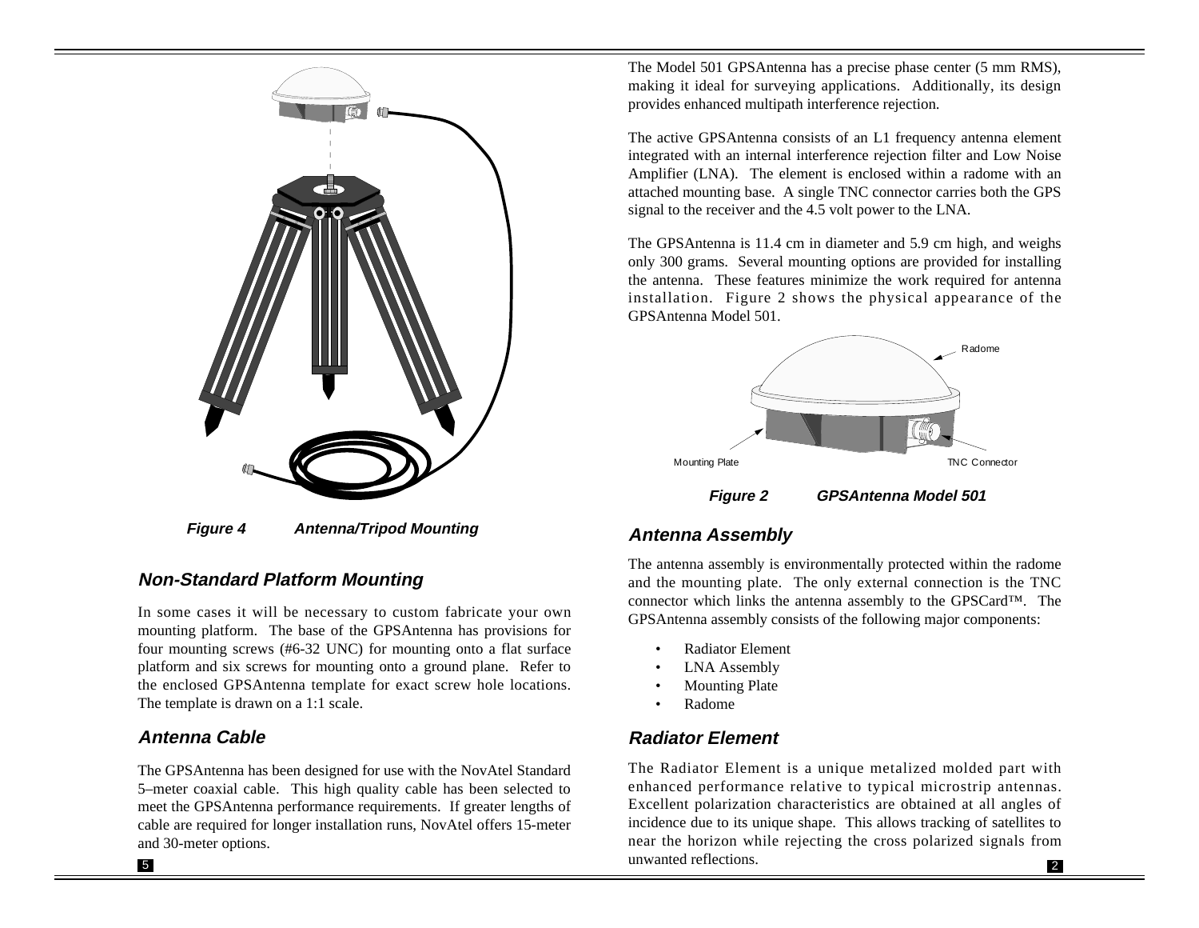

**Figure 4 Antenna/Tripod Mounting** 

## **Non-Standard Platform Mounting**

In some cases it will be necessary to custom fabricate your own mounting platform. The base of the GPSAntenna has provisions for four mounting screws (#6-32 UNC) for mounting onto a flat surface platform and six screws for mounting onto a ground plane. Refer to the enclosed GPSAntenna template for exact screw hole locations. The template is drawn on a 1:1 scale.

### **Antenna Cable**

The GPSAntenna has been designed for use with the NovAtel Standard 5–meter coaxial cable. This high quality cable has been selected to meet the GPSAntenna performance requirements. If greater lengths of cable are required for longer installation runs, NovAtel offers 15-meter and 30-meter options.

The Model 501 GPSAntenna has a precise phase center (5 mm RMS), making it ideal for surveying applications. Additionally, its design provides enhanced multipath interference rejection.

The active GPSAntenna consists of an L1 frequency antenna element integrated with an internal interference rejection filter and Low Noise Amplifier (LNA). The element is enclosed within a radome with an attached mounting base. A single TNC connector carries both the GPS signal to the receiver and the 4.5 volt power to the LNA.

The GPSAntenna is 11.4 cm in diameter and 5.9 cm high, and weighs only 300 grams. Several mounting options are provided for installing the antenna. These features minimize the work required for antenna installation. Figure 2 shows the physical appearance of the GPSAntenna Model 501.



**Figure 2 GPSAntenna Model 501** 

### **Antenna Assembly**

The antenna assembly is environmentally protected within the radome and the mounting plate. The only external connection is the TNC connector which links the antenna assembly to the GPSCard™. The GPSAntenna assembly consists of the following major components:

- Radiator Element
- LNA Assembly
- Mounting Plate
- •Radome

### **Radiator Element**

The Radiator Element is a unique metalized molded part with enhanced performance relative to typical microstrip antennas. Excellent polarization characteristics are obtained at all angles of incidence due to its unique shape. This allows tracking of satellites to near the horizon while rejecting the cross polarized signals from unwanted reflections. 5 and the contract of the contract of the contract of the contract of the contract of the contract of the contract of the contract of the contract of the contract of the contract of the contract of the contract of the cont